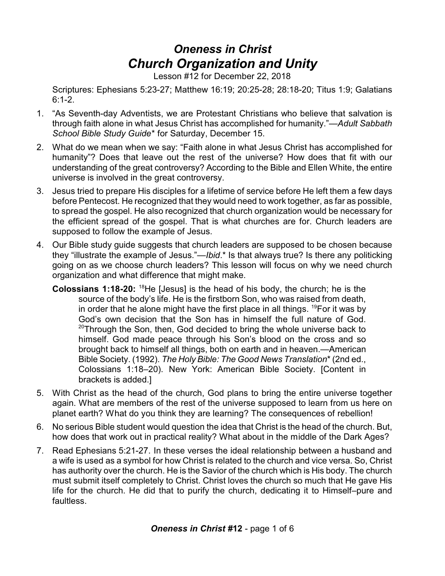## *Oneness in Christ Church Organization and Unity*

Lesson #12 for December 22, 2018

Scriptures: Ephesians 5:23-27; Matthew 16:19; 20:25-28; 28:18-20; Titus 1:9; Galatians 6:1-2.

- 1. "As Seventh-day Adventists, we are Protestant Christians who believe that salvation is through faith alone in what Jesus Christ has accomplished for humanity."—*Adult Sabbath School Bible Study Guide*\* for Saturday, December 15.
- 2. What do we mean when we say: "Faith alone in what Jesus Christ has accomplished for humanity"? Does that leave out the rest of the universe? How does that fit with our understanding of the great controversy? According to the Bible and Ellen White, the entire universe is involved in the great controversy.
- 3. Jesus tried to prepare His disciples for a lifetime of service before He left them a few days before Pentecost. He recognized that they would need to work together, as far as possible, to spread the gospel. He also recognized that church organization would be necessary for the efficient spread of the gospel. That is what churches are for. Church leaders are supposed to follow the example of Jesus.
- 4. Our Bible study guide suggests that church leaders are supposed to be chosen because they "illustrate the example of Jesus."—*Ibid*.\* Is that always true? Is there any politicking going on as we choose church leaders? This lesson will focus on why we need church organization and what difference that might make.
	- **Colossians 1:18-20:** <sup>18</sup>He [Jesus] is the head of his body, the church; he is the source of the body's life. He is the firstborn Son, who was raised from death, in order that he alone might have the first place in all things.  $19$ For it was by God's own decision that the Son has in himself the full nature of God.  $20$ Through the Son, then, God decided to bring the whole universe back to himself. God made peace through his Son's blood on the cross and so brought back to himself all things, both on earth and in heaven.—American Bible Society. (1992). *The Holy Bible: The Good News Translation*\* (2nd ed., Colossians 1:18–20). New York: American Bible Society. [Content in brackets is added.]
- 5. With Christ as the head of the church, God plans to bring the entire universe together again. What are members of the rest of the universe supposed to learn from us here on planet earth? What do you think they are learning? The consequences of rebellion!
- 6. No serious Bible student would question the idea that Christ is the head of the church. But, how does that work out in practical reality? What about in the middle of the Dark Ages?
- 7. Read Ephesians 5:21-27. In these verses the ideal relationship between a husband and a wife is used as a symbol for how Christ is related to the church and vice versa. So, Christ has authority over the church. He is the Savior of the church which is His body. The church must submit itself completely to Christ. Christ loves the church so much that He gave His life for the church. He did that to purify the church, dedicating it to Himself–pure and faultless.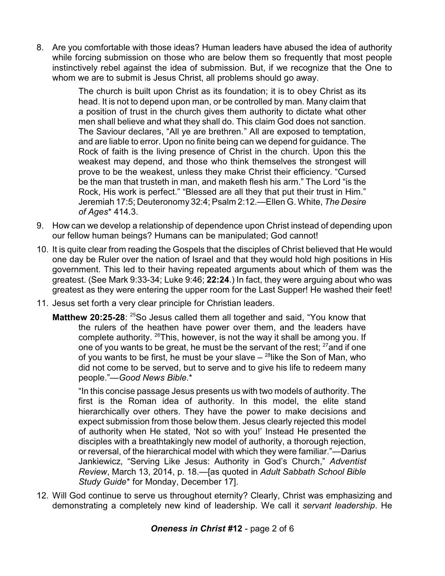8. Are you comfortable with those ideas? Human leaders have abused the idea of authority while forcing submission on those who are below them so frequently that most people instinctively rebel against the idea of submission. But, if we recognize that the One to whom we are to submit is Jesus Christ, all problems should go away.

> The church is built upon Christ as its foundation; it is to obey Christ as its head. It is not to depend upon man, or be controlled by man. Many claim that a position of trust in the church gives them authority to dictate what other men shall believe and what they shall do. This claim God does not sanction. The Saviour declares, "All ye are brethren." All are exposed to temptation, and are liable to error. Upon no finite being can we depend for guidance. The Rock of faith is the living presence of Christ in the church. Upon this the weakest may depend, and those who think themselves the strongest will prove to be the weakest, unless they make Christ their efficiency. "Cursed be the man that trusteth in man, and maketh flesh his arm." The Lord "is the Rock, His work is perfect." "Blessed are all they that put their trust in Him." Jeremiah 17:5; Deuteronomy 32:4; Psalm 2:12.—Ellen G. White, *The Desire of Ages*\* 414.3.

- 9. How can we develop a relationship of dependence upon Christ instead of depending upon our fellow human beings? Humans can be manipulated; God cannot!
- 10. It is quite clear from reading the Gospels that the disciples of Christ believed that He would one day be Ruler over the nation of Israel and that they would hold high positions in His government. This led to their having repeated arguments about which of them was the greatest. (See Mark 9:33-34; Luke 9:46; **22:24**.) In fact, they were arguing about who was greatest as they were entering the upper room for the Last Supper! He washed their feet!
- 11. Jesus set forth a very clear principle for Christian leaders.
	- **Matthew 20:25-28:** <sup>25</sup>So Jesus called them all together and said, "You know that the rulers of the heathen have power over them, and the leaders have complete authority. <sup>26</sup>This, however, is not the way it shall be among you. If one of you wants to be great, he must be the servant of the rest; <sup>27</sup>and if one of you wants to be first, he must be your slave – <sup>28</sup>like the Son of Man, who did not come to be served, but to serve and to give his life to redeem many people."—*Good News Bible*.\*

"In this concise passage Jesus presents us with two models of authority. The first is the Roman idea of authority. In this model, the elite stand hierarchically over others. They have the power to make decisions and expect submission from those below them. Jesus clearly rejected this model of authority when He stated, 'Not so with you!' Instead He presented the disciples with a breathtakingly new model of authority, a thorough rejection, or reversal, of the hierarchical model with which they were familiar."—Darius Jankiewicz, "Serving Like Jesus: Authority in God's Church," *Adventist Review*, March 13, 2014, p. 18.—[as quoted in *Adult Sabbath School Bible Study Guide*\* for Monday, December 17].

12. Will God continue to serve us throughout eternity? Clearly, Christ was emphasizing and demonstrating a completely new kind of leadership. We call it *servant leadership*. He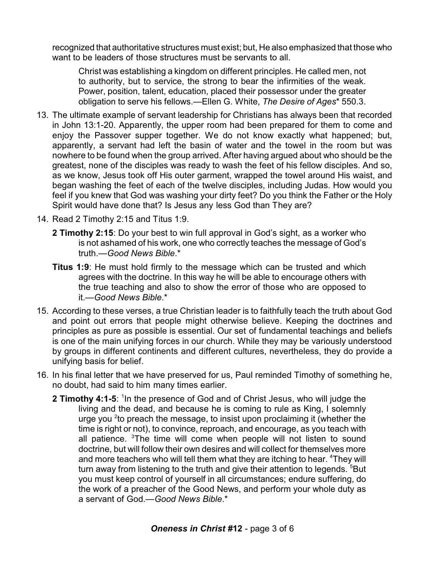recognized that authoritative structures must exist; but, He also emphasized that those who want to be leaders of those structures must be servants to all.

Christ was establishing a kingdom on different principles. He called men, not to authority, but to service, the strong to bear the infirmities of the weak. Power, position, talent, education, placed their possessor under the greater obligation to serve his fellows.—Ellen G. White, *The Desire of Ages*\* 550.3.

- 13. The ultimate example of servant leadership for Christians has always been that recorded in John 13:1-20. Apparently, the upper room had been prepared for them to come and enjoy the Passover supper together. We do not know exactly what happened; but, apparently, a servant had left the basin of water and the towel in the room but was nowhere to be found when the group arrived. After having argued about who should be the greatest, none of the disciples was ready to wash the feet of his fellow disciples. And so, as we know, Jesus took off His outer garment, wrapped the towel around His waist, and began washing the feet of each of the twelve disciples, including Judas. How would you feel if you knew that God was washing your dirty feet? Do you think the Father or the Holy Spirit would have done that? Is Jesus any less God than They are?
- 14. Read 2 Timothy 2:15 and Titus 1:9.
	- **2 Timothy 2:15**: Do your best to win full approval in God's sight, as a worker who is not ashamed of his work, one who correctly teaches the message of God's truth.—*Good News Bible*.\*
	- **Titus 1:9**: He must hold firmly to the message which can be trusted and which agrees with the doctrine. In this way he will be able to encourage others with the true teaching and also to show the error of those who are opposed to it.—*Good News Bible*.\*
- 15. According to these verses, a true Christian leader is to faithfully teach the truth about God and point out errors that people might otherwise believe. Keeping the doctrines and principles as pure as possible is essential. Our set of fundamental teachings and beliefs is one of the main unifying forces in our church. While they may be variously understood by groups in different continents and different cultures, nevertheless, they do provide a unifying basis for belief.
- 16. In his final letter that we have preserved for us, Paul reminded Timothy of something he, no doubt, had said to him many times earlier.
	- **2 Timothy 4:1-5**: <sup>1</sup>In the presence of God and of Christ Jesus, who will judge the living and the dead, and because he is coming to rule as King, I solemnly urge you <sup>2</sup>to preach the message, to insist upon proclaiming it (whether the time is right or not), to convince, reproach, and encourage, as you teach with all patience.  $3$ The time will come when people will not listen to sound doctrine, but will follow their own desires and will collect for themselves more and more teachers who will tell them what they are itching to hear. <sup>4</sup>They will turn away from listening to the truth and give their attention to legends.  $5$ But you must keep control of yourself in all circumstances; endure suffering, do the work of a preacher of the Good News, and perform your whole duty as a servant of God.—*Good News Bible*.\*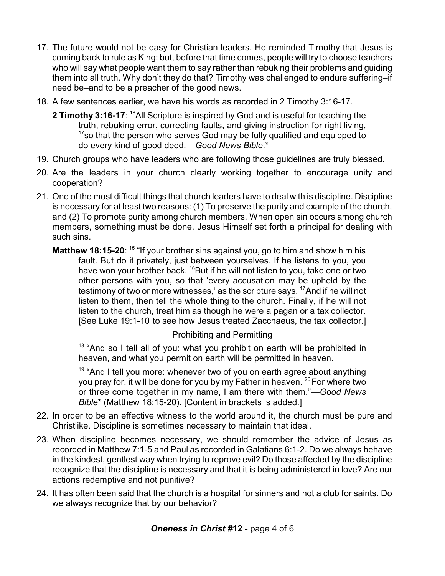- 17. The future would not be easy for Christian leaders. He reminded Timothy that Jesus is coming back to rule as King; but, before that time comes, people will try to choose teachers who will say what people want them to say rather than rebuking their problems and guiding them into all truth. Why don't they do that? Timothy was challenged to endure suffering–if need be–and to be a preacher of the good news.
- 18. A few sentences earlier, we have his words as recorded in 2 Timothy 3:16-17.
	- **2 Timothy 3:16-17:** <sup>16</sup>All Scripture is inspired by God and is useful for teaching the truth, rebuking error, correcting faults, and giving instruction for right living, <sup>17</sup>so that the person who serves God may be fully qualified and equipped to do every kind of good deed.—*Good News Bible*.\*
- 19. Church groups who have leaders who are following those guidelines are truly blessed.
- 20. Are the leaders in your church clearly working together to encourage unity and cooperation?
- 21. One of the most difficult things that church leaders have to deal with is discipline. Discipline is necessary for at least two reasons: (1) To preserve the purity and example of the church, and (2) To promote purity among church members. When open sin occurs among church members, something must be done. Jesus Himself set forth a principal for dealing with such sins.
	- **Matthew 18:15-20**: <sup>15</sup> "If your brother sins against you, go to him and show him his fault. But do it privately, just between yourselves. If he listens to you, you have won your brother back.  $^{16}$ But if he will not listen to you, take one or two other persons with you, so that 'every accusation may be upheld by the testimony of two or more witnesses,' as the scripture says. <sup>17</sup>And if he will not listen to them, then tell the whole thing to the church. Finally, if he will not listen to the church, treat him as though he were a pagan or a tax collector. [See Luke 19:1-10 to see how Jesus treated Zacchaeus, the tax collector.]

## Prohibiting and Permitting

<sup>18</sup> "And so I tell all of you: what you prohibit on earth will be prohibited in heaven, and what you permit on earth will be permitted in heaven.

<sup>19</sup> "And I tell you more: whenever two of you on earth agree about anything you pray for, it will be done for you by my Father in heaven.  $20$  For where two or three come together in my name, I am there with them."—*Good News Bible*\* (Matthew 18:15-20). [Content in brackets is added.]

- 22. In order to be an effective witness to the world around it, the church must be pure and Christlike. Discipline is sometimes necessary to maintain that ideal.
- 23. When discipline becomes necessary, we should remember the advice of Jesus as recorded in Matthew 7:1-5 and Paul as recorded in Galatians 6:1-2. Do we always behave in the kindest, gentlest way when trying to reprove evil? Do those affected by the discipline recognize that the discipline is necessary and that it is being administered in love? Are our actions redemptive and not punitive?
- 24. It has often been said that the church is a hospital for sinners and not a club for saints. Do we always recognize that by our behavior?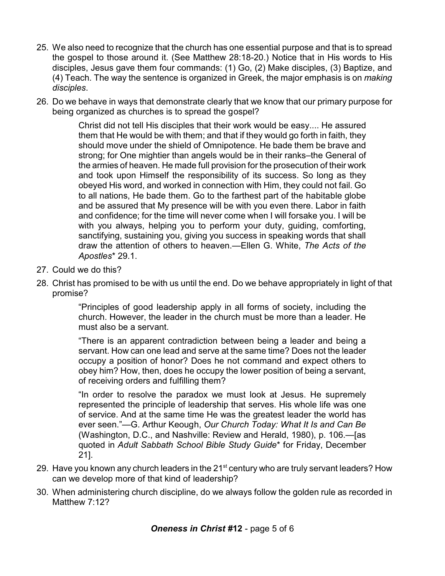- 25. We also need to recognize that the church has one essential purpose and that is to spread the gospel to those around it. (See Matthew 28:18-20.) Notice that in His words to His disciples, Jesus gave them four commands: (1) Go, (2) Make disciples, (3) Baptize, and (4) Teach. The way the sentence is organized in Greek, the major emphasis is on *making disciples*.
- 26. Do we behave in ways that demonstrate clearly that we know that our primary purpose for being organized as churches is to spread the gospel?

Christ did not tell His disciples that their work would be easy.... He assured them that He would be with them; and that if they would go forth in faith, they should move under the shield of Omnipotence. He bade them be brave and strong; for One mightier than angels would be in their ranks–the General of the armies of heaven. He made full provision for the prosecution of their work and took upon Himself the responsibility of its success. So long as they obeyed His word, and worked in connection with Him, they could not fail. Go to all nations, He bade them. Go to the farthest part of the habitable globe and be assured that My presence will be with you even there. Labor in faith and confidence; for the time will never come when I will forsake you. I will be with you always, helping you to perform your duty, guiding, comforting, sanctifying, sustaining you, giving you success in speaking words that shall draw the attention of others to heaven.—Ellen G. White, *The Acts of the Apostles*\* 29.1.

- 27. Could we do this?
- 28. Christ has promised to be with us until the end. Do we behave appropriately in light of that promise?

"Principles of good leadership apply in all forms of society, including the church. However, the leader in the church must be more than a leader. He must also be a servant.

"There is an apparent contradiction between being a leader and being a servant. How can one lead and serve at the same time? Does not the leader occupy a position of honor? Does he not command and expect others to obey him? How, then, does he occupy the lower position of being a servant, of receiving orders and fulfilling them?

"In order to resolve the paradox we must look at Jesus. He supremely represented the principle of leadership that serves. His whole life was one of service. And at the same time He was the greatest leader the world has ever seen."—G. Arthur Keough, *Our Church Today: What It Is and Can Be* (Washington, D.C., and Nashville: Review and Herald, 1980), p. 106.—[as quoted in *Adult Sabbath School Bible Study Guide*\* for Friday, December 21].

- 29. Have you known any church leaders in the 21<sup>st</sup> century who are truly servant leaders? How can we develop more of that kind of leadership?
- 30. When administering church discipline, do we always follow the golden rule as recorded in Matthew 7:12?